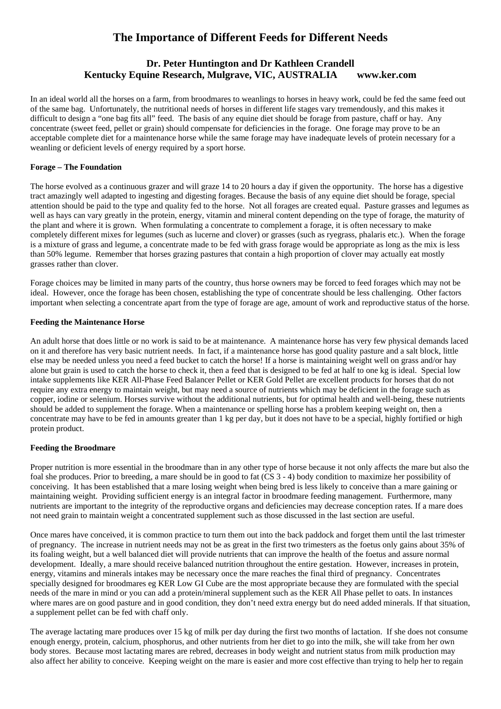# **The Importance of Different Feeds for Different Needs**

# **Dr. Peter Huntington and Dr Kathleen Crandell Kentucky Equine Research, Mulgrave, VIC, AUSTRALIA www.ker.com**

In an ideal world all the horses on a farm, from broodmares to weanlings to horses in heavy work, could be fed the same feed out of the same bag. Unfortunately, the nutritional needs of horses in different life stages vary tremendously, and this makes it difficult to design a "one bag fits all" feed. The basis of any equine diet should be forage from pasture, chaff or hay. Any concentrate (sweet feed, pellet or grain) should compensate for deficiencies in the forage. One forage may prove to be an acceptable complete diet for a maintenance horse while the same forage may have inadequate levels of protein necessary for a weanling or deficient levels of energy required by a sport horse.

### **Forage – The Foundation**

The horse evolved as a continuous grazer and will graze 14 to 20 hours a day if given the opportunity. The horse has a digestive tract amazingly well adapted to ingesting and digesting forages. Because the basis of any equine diet should be forage, special attention should be paid to the type and quality fed to the horse. Not all forages are created equal. Pasture grasses and legumes as well as hays can vary greatly in the protein, energy, vitamin and mineral content depending on the type of forage, the maturity of the plant and where it is grown. When formulating a concentrate to complement a forage, it is often necessary to make completely different mixes for legumes (such as lucerne and clover) or grasses (such as ryegrass, phalaris etc.). When the forage is a mixture of grass and legume, a concentrate made to be fed with grass forage would be appropriate as long as the mix is less than 50% legume. Remember that horses grazing pastures that contain a high proportion of clover may actually eat mostly grasses rather than clover.

Forage choices may be limited in many parts of the country, thus horse owners may be forced to feed forages which may not be ideal. However, once the forage has been chosen, establishing the type of concentrate should be less challenging. Other factors important when selecting a concentrate apart from the type of forage are age, amount of work and reproductive status of the horse.

### **Feeding the Maintenance Horse**

An adult horse that does little or no work is said to be at maintenance. A maintenance horse has very few physical demands laced on it and therefore has very basic nutrient needs. In fact, if a maintenance horse has good quality pasture and a salt block, little else may be needed unless you need a feed bucket to catch the horse! If a horse is maintaining weight well on grass and/or hay alone but grain is used to catch the horse to check it, then a feed that is designed to be fed at half to one kg is ideal. Special low intake supplements like KER All-Phase Feed Balancer Pellet or KER Gold Pellet are excellent products for horses that do not require any extra energy to maintain weight, but may need a source of nutrients which may be deficient in the forage such as copper, iodine or selenium. Horses survive without the additional nutrients, but for optimal health and well-being, these nutrients should be added to supplement the forage. When a maintenance or spelling horse has a problem keeping weight on, then a concentrate may have to be fed in amounts greater than 1 kg per day, but it does not have to be a special, highly fortified or high protein product.

### **Feeding the Broodmare**

Proper nutrition is more essential in the broodmare than in any other type of horse because it not only affects the mare but also the foal she produces. Prior to breeding, a mare should be in good to fat (CS 3 - 4) body condition to maximize her possibility of conceiving. It has been established that a mare losing weight when being bred is less likely to conceive than a mare gaining or maintaining weight. Providing sufficient energy is an integral factor in broodmare feeding management. Furthermore, many nutrients are important to the integrity of the reproductive organs and deficiencies may decrease conception rates. If a mare does not need grain to maintain weight a concentrated supplement such as those discussed in the last section are useful.

Once mares have conceived, it is common practice to turn them out into the back paddock and forget them until the last trimester of pregnancy. The increase in nutrient needs may not be as great in the first two trimesters as the foetus only gains about 35% of its foaling weight, but a well balanced diet will provide nutrients that can improve the health of the foetus and assure normal development. Ideally, a mare should receive balanced nutrition throughout the entire gestation. However, increases in protein, energy, vitamins and minerals intakes may be necessary once the mare reaches the final third of pregnancy. Concentrates specially designed for broodmares eg KER Low GI Cube are the most appropriate because they are formulated with the special needs of the mare in mind or you can add a protein/mineral supplement such as the KER All Phase pellet to oats. In instances where mares are on good pasture and in good condition, they don't need extra energy but do need added minerals. If that situation, a supplement pellet can be fed with chaff only.

The average lactating mare produces over 15 kg of milk per day during the first two months of lactation. If she does not consume enough energy, protein, calcium, phosphorus, and other nutrients from her diet to go into the milk, she will take from her own body stores. Because most lactating mares are rebred, decreases in body weight and nutrient status from milk production may also affect her ability to conceive. Keeping weight on the mare is easier and more cost effective than trying to help her to regain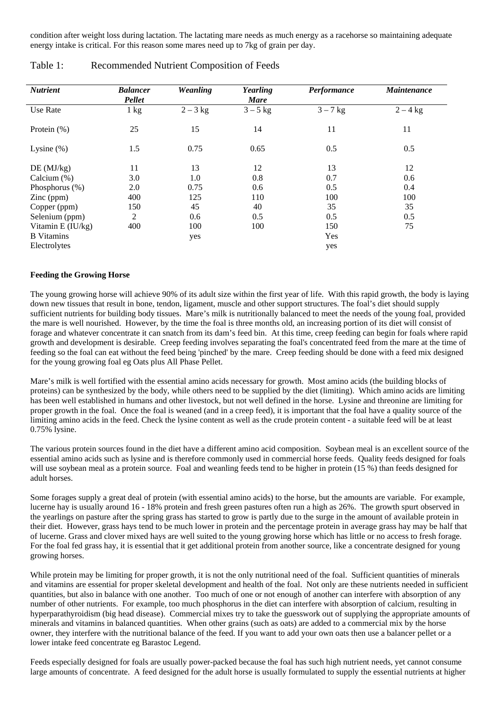condition after weight loss during lactation. The lactating mare needs as much energy as a racehorse so maintaining adequate energy intake is critical. For this reason some mares need up to 7kg of grain per day.

| <b>Nutrient</b>     | <b>Balancer</b><br>Pellet | <b>Weanling</b> | Yearling<br><b>Mare</b> | Performance | <b>Maintenance</b> |
|---------------------|---------------------------|-----------------|-------------------------|-------------|--------------------|
| Use Rate            | $1 \text{ kg}$            | $2-3$ kg        | $3-5$ kg                | $3 - 7$ kg  | $2 - 4$ kg         |
| Protein $(\%)$      | 25                        | 15              | 14                      | 11          | 11                 |
| Lysine $(\%)$       | 1.5                       | 0.75            | 0.65                    | 0.5         | 0.5                |
| DE(MJ/kg)           | 11                        | 13              | 12                      | 13          | 12                 |
| Calcium $(\%)$      | 3.0                       | 1.0             | 0.8                     | 0.7         | 0.6                |
| Phosphorus (%)      | 2.0                       | 0.75            | 0.6                     | 0.5         | 0.4                |
| $\text{Zinc (ppm)}$ | 400                       | 125             | 110                     | 100         | 100                |
| Copper (ppm)        | 150                       | 45              | 40                      | 35          | 35                 |
| Selenium (ppm)      | $\overline{2}$            | 0.6             | 0.5                     | 0.5         | 0.5                |
| Vitamin $E$ (IU/kg) | 400                       | 100             | 100                     | 150         | 75                 |
| <b>B</b> Vitamins   |                           | yes             |                         | Yes         |                    |
| Electrolytes        |                           |                 |                         | yes         |                    |

## Table 1: Recommended Nutrient Composition of Feeds

#### **Feeding the Growing Horse**

The young growing horse will achieve 90% of its adult size within the first year of life. With this rapid growth, the body is laying down new tissues that result in bone, tendon, ligament, muscle and other support structures. The foal's diet should supply sufficient nutrients for building body tissues. Mare's milk is nutritionally balanced to meet the needs of the young foal, provided the mare is well nourished. However, by the time the foal is three months old, an increasing portion of its diet will consist of forage and whatever concentrate it can snatch from its dam's feed bin. At this time, creep feeding can begin for foals where rapid growth and development is desirable. Creep feeding involves separating the foal's concentrated feed from the mare at the time of feeding so the foal can eat without the feed being 'pinched' by the mare. Creep feeding should be done with a feed mix designed for the young growing foal eg Oats plus All Phase Pellet.

Mare's milk is well fortified with the essential amino acids necessary for growth. Most amino acids (the building blocks of proteins) can be synthesized by the body, while others need to be supplied by the diet (limiting). Which amino acids are limiting has been well established in humans and other livestock, but not well defined in the horse. Lysine and threonine are limiting for proper growth in the foal. Once the foal is weaned (and in a creep feed), it is important that the foal have a quality source of the limiting amino acids in the feed. Check the lysine content as well as the crude protein content - a suitable feed will be at least 0.75% lysine.

The various protein sources found in the diet have a different amino acid composition. Soybean meal is an excellent source of the essential amino acids such as lysine and is therefore commonly used in commercial horse feeds. Quality feeds designed for foals will use soybean meal as a protein source. Foal and weanling feeds tend to be higher in protein (15 %) than feeds designed for adult horses.

Some forages supply a great deal of protein (with essential amino acids) to the horse, but the amounts are variable. For example, lucerne hay is usually around 16 - 18% protein and fresh green pastures often run a high as 26%. The growth spurt observed in the yearlings on pasture after the spring grass has started to grow is partly due to the surge in the amount of available protein in their diet. However, grass hays tend to be much lower in protein and the percentage protein in average grass hay may be half that of lucerne. Grass and clover mixed hays are well suited to the young growing horse which has little or no access to fresh forage. For the foal fed grass hay, it is essential that it get additional protein from another source, like a concentrate designed for young growing horses.

While protein may be limiting for proper growth, it is not the only nutritional need of the foal. Sufficient quantities of minerals and vitamins are essential for proper skeletal development and health of the foal. Not only are these nutrients needed in sufficient quantities, but also in balance with one another. Too much of one or not enough of another can interfere with absorption of any number of other nutrients. For example, too much phosphorus in the diet can interfere with absorption of calcium, resulting in hyperparathyroidism (big head disease). Commercial mixes try to take the guesswork out of supplying the appropriate amounts of minerals and vitamins in balanced quantities. When other grains (such as oats) are added to a commercial mix by the horse owner, they interfere with the nutritional balance of the feed. If you want to add your own oats then use a balancer pellet or a lower intake feed concentrate eg Barastoc Legend.

Feeds especially designed for foals are usually power-packed because the foal has such high nutrient needs, yet cannot consume large amounts of concentrate. A feed designed for the adult horse is usually formulated to supply the essential nutrients at higher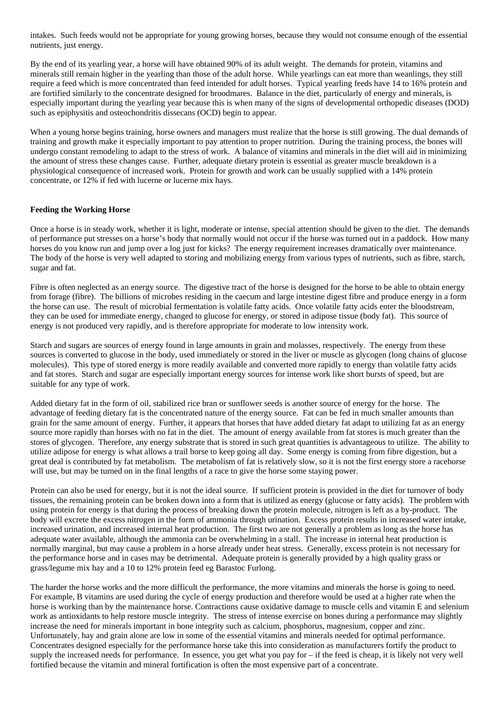intakes. Such feeds would not be appropriate for young growing horses, because they would not consume enough of the essential nutrients, just energy.

By the end of its yearling year, a horse will have obtained 90% of its adult weight. The demands for protein, vitamins and minerals still remain higher in the yearling than those of the adult horse. While yearlings can eat more than weanlings, they still require a feed which is more concentrated than feed intended for adult horses. Typical yearling feeds have 14 to 16% protein and are fortified similarly to the concentrate designed for broodmares. Balance in the diet, particularly of energy and minerals, is especially important during the yearling year because this is when many of the signs of developmental orthopedic diseases (DOD) such as epiphysitis and osteochondritis dissecans (OCD) begin to appear.

When a young horse begins training, horse owners and managers must realize that the horse is still growing. The dual demands of training and growth make it especially important to pay attention to proper nutrition. During the training process, the bones will undergo constant remodeling to adapt to the stress of work. A balance of vitamins and minerals in the diet will aid in minimizing the amount of stress these changes cause. Further, adequate dietary protein is essential as greater muscle breakdown is a physiological consequence of increased work. Protein for growth and work can be usually supplied with a 14% protein concentrate, or 12% if fed with lucerne or lucerne mix hays.

#### **Feeding the Working Horse**

Once a horse is in steady work, whether it is light, moderate or intense, special attention should be given to the diet. The demands of performance put stresses on a horse's body that normally would not occur if the horse was turned out in a paddock. How many horses do you know run and jump over a log just for kicks? The energy requirement increases dramatically over maintenance. The body of the horse is very well adapted to storing and mobilizing energy from various types of nutrients, such as fibre, starch, sugar and fat.

Fibre is often neglected as an energy source. The digestive tract of the horse is designed for the horse to be able to obtain energy from forage (fibre). The billions of microbes residing in the caecum and large intestine digest fibre and produce energy in a form the horse can use. The result of microbial fermentation is volatile fatty acids. Once volatile fatty acids enter the bloodstream, they can be used for immediate energy, changed to glucose for energy, or stored in adipose tissue (body fat). This source of energy is not produced very rapidly, and is therefore appropriate for moderate to low intensity work.

Starch and sugars are sources of energy found in large amounts in grain and molasses, respectively. The energy from these sources is converted to glucose in the body, used immediately or stored in the liver or muscle as glycogen (long chains of glucose molecules). This type of stored energy is more readily available and converted more rapidly to energy than volatile fatty acids and fat stores. Starch and sugar are especially important energy sources for intense work like short bursts of speed, but are suitable for any type of work.

Added dietary fat in the form of oil, stabilized rice bran or sunflower seeds is another source of energy for the horse. The advantage of feeding dietary fat is the concentrated nature of the energy source. Fat can be fed in much smaller amounts than grain for the same amount of energy. Further, it appears that horses that have added dietary fat adapt to utilizing fat as an energy source more rapidly than horses with no fat in the diet. The amount of energy available from fat stores is much greater than the stores of glycogen. Therefore, any energy substrate that is stored in such great quantities is advantageous to utilize. The ability to utilize adipose for energy is what allows a trail horse to keep going all day. Some energy is coming from fibre digestion, but a great deal is contributed by fat metabolism. The metabolism of fat is relatively slow, so it is not the first energy store a racehorse will use, but may be turned on in the final lengths of a race to give the horse some staying power.

Protein can also be used for energy, but it is not the ideal source. If sufficient protein is provided in the diet for turnover of body tissues, the remaining protein can be broken down into a form that is utilized as energy (glucose or fatty acids). The problem with using protein for energy is that during the process of breaking down the protein molecule, nitrogen is left as a by-product. The body will excrete the excess nitrogen in the form of ammonia through urination. Excess protein results in increased water intake, increased urination, and increased internal heat production. The first two are not generally a problem as long as the horse has adequate water available, although the ammonia can be overwhelming in a stall. The increase in internal heat production is normally marginal, but may cause a problem in a horse already under heat stress. Generally, excess protein is not necessary for the performance horse and in cases may be detrimental. Adequate protein is generally provided by a high quality grass or grass/legume mix hay and a 10 to 12% protein feed eg Barastoc Furlong.

The harder the horse works and the more difficult the performance, the more vitamins and minerals the horse is going to need. For example, B vitamins are used during the cycle of energy production and therefore would be used at a higher rate when the horse is working than by the maintenance horse. Contractions cause oxidative damage to muscle cells and vitamin E and selenium work as antioxidants to help restore muscle integrity. The stress of intense exercise on bones during a performance may slightly increase the need for minerals important in bone integrity such as calcium, phosphorus, magnesium, copper and zinc. Unfortunately, hay and grain alone are low in some of the essential vitamins and minerals needed for optimal performance. Concentrates designed especially for the performance horse take this into consideration as manufacturers fortify the product to supply the increased needs for performance. In essence, you get what you pay for – if the feed is cheap, it is likely not very well fortified because the vitamin and mineral fortification is often the most expensive part of a concentrate.